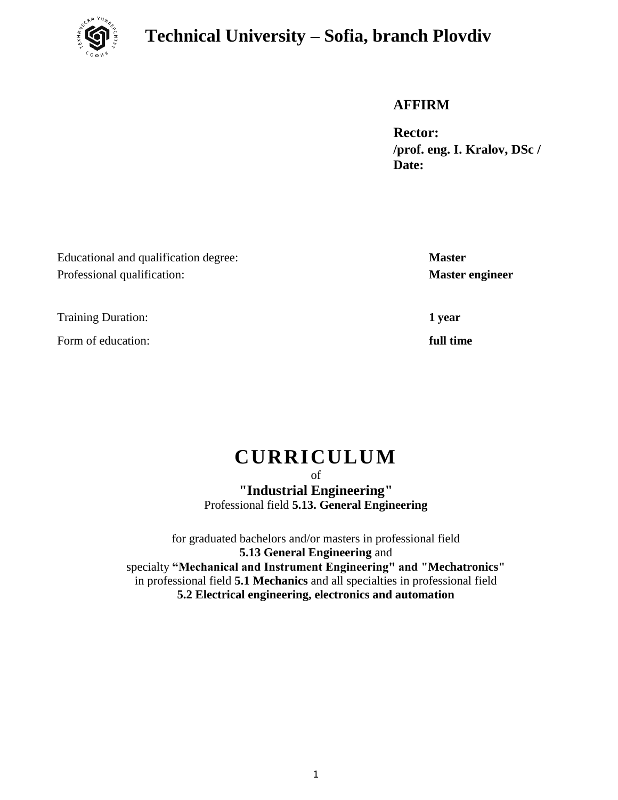

## **Technical University – Sofia, branch Plovdiv**

### **AFFIRM**

**Rector: /prof. eng. I. Kralov, DSc / Date:**

Educational and qualification degree: **Master** Professional qualification: **Master engineer**

Training Duration: **1 year**

Form of education: *full time* 

# **CURRICULUM**

of **"Industrial Engineering"** Professional field **5.13. General Engineering**

for graduated bachelors and/or masters in professional field **5.13 General Engineering** and specialty **"Mechanical and Instrument Engineering" and "Mechatronics"** in professional field **5.1 Mechanics** and all specialties in professional field **5.2 Electrical engineering, electronics and automation**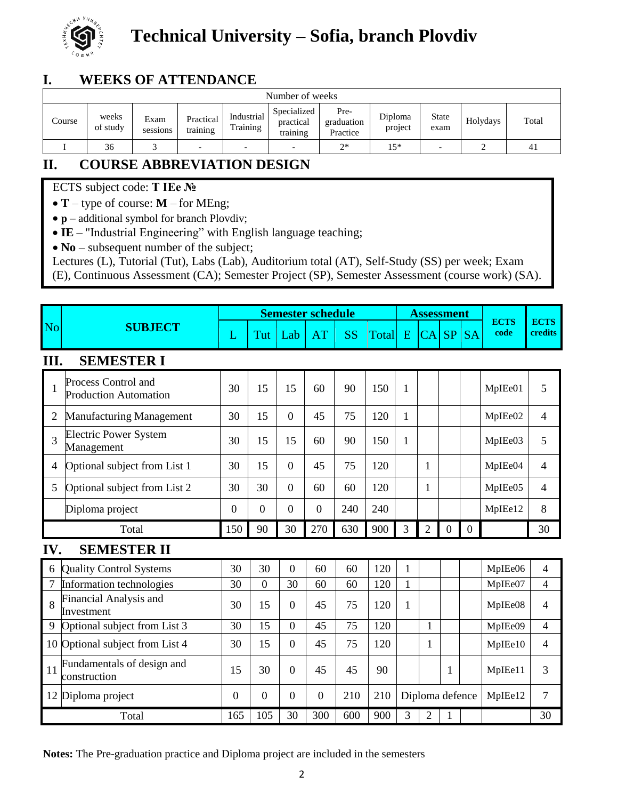

# **Technical University – Sofia, branch Plovdiv**

### **I. WEEKS OF ATTENDANCE**

| Number of weeks |                   |                  |                          |                          |                                      |                                |                    |                          |          |       |  |
|-----------------|-------------------|------------------|--------------------------|--------------------------|--------------------------------------|--------------------------------|--------------------|--------------------------|----------|-------|--|
| Course          | weeks<br>of study | Exam<br>sessions | Practical<br>training    | Industrial<br>Training   | Specialized<br>practical<br>training | Pre-<br>graduation<br>Practice | Diploma<br>project | <b>State</b><br>exam     | Holydays | Total |  |
|                 | 36                |                  | $\overline{\phantom{0}}$ | $\overline{\phantom{0}}$ | $\overline{\phantom{0}}$             | $2*$                           | $15*$              | $\overline{\phantom{0}}$ |          | 41    |  |

## **II. COURSE ABBREVIATION DESIGN**

### ECTS subject code: **T IEe №**

**T** – type of course: **M** – for MEng;

• **p** – additional symbol for branch Plovdiv;

**IE** – "Industrial Engineering" with English language teaching;

• **No** – subsequent number of the subject;

Lectures (L), Tutorial (Tut), Labs (Lab), Auditorium total (AT), Self-Study (SS) per week; Exam

(E), Continuous Assessment (CA); Semester Project (SP), Semester Assessment (course work) (SA).

|                |                                                     |                  |                  |                  | <b>Semester schedule</b> |           |              |              | <b>Assessment</b> |                |                |                     |                          |
|----------------|-----------------------------------------------------|------------------|------------------|------------------|--------------------------|-----------|--------------|--------------|-------------------|----------------|----------------|---------------------|--------------------------|
| <b>No</b>      | <b>SUBJECT</b><br>L                                 |                  | Tut              | Lab              | <b>AT</b>                | <b>SS</b> | <b>Total</b> | E            | CA SP             |                | <b>SA</b>      | <b>ECTS</b><br>code | <b>ECTS</b><br>credits   |
| III.           | <b>SEMESTER I</b>                                   |                  |                  |                  |                          |           |              |              |                   |                |                |                     |                          |
| 1              | Process Control and<br><b>Production Automation</b> | 30               | 15               | 15               | 60                       | 90        | 150          | 1            |                   |                |                | MpIEe01             | 5                        |
| 2              | <b>Manufacturing Management</b>                     | 30               | 15               | $\overline{0}$   | 45                       | 75        | 120          | 1            |                   |                |                | MpIEe02             | 4                        |
| 3              | <b>Electric Power System</b><br>Management          | 30               | 15               | 15               | 60                       | 90        | 150          | $\mathbf{1}$ |                   |                |                | MpIEe03             | 5                        |
| 4              | Optional subject from List 1                        | 30               | 15               | $\overline{0}$   | 45                       | 75        | 120          |              | 1                 |                |                | MpIEe04             | 4                        |
| 5              | Optional subject from List 2                        | 30               | 30               | $\overline{0}$   | 60                       | 60        | 120          |              | 1                 |                |                | MpIEe05             | $\overline{\mathcal{A}}$ |
|                | Diploma project                                     | $\boldsymbol{0}$ | $\mathbf{0}$     | $\boldsymbol{0}$ | $\mathbf{0}$             | 240       | 240          |              |                   |                |                | MpIEe12             | 8                        |
|                | Total                                               | 150              | 90               | 30               | 270                      | 630       | 900          | 3            | $\overline{2}$    | $\overline{0}$ | $\overline{0}$ |                     | 30                       |
| IV.            | <b>SEMESTER II</b>                                  |                  |                  |                  |                          |           |              |              |                   |                |                |                     |                          |
| 6              | <b>Quality Control Systems</b>                      | 30               | 30               | $\overline{0}$   | 60                       | 60        | 120          | 1            |                   |                |                | MpIEe06             | 4                        |
| $\overline{7}$ | Information technologies                            | 30               | $\boldsymbol{0}$ | 30               | 60                       | 60        | 120          | 1            |                   |                |                | MpIEe07             | 4                        |
| 8              | <b>Financial Analysis and</b><br>Investment         | 30               | 15               | $\theta$         | 45                       | 75        | 120          | 1            |                   |                |                | MpIEe08             | 4                        |
| 9              | Optional subject from List 3                        | 30               | 15               | $\boldsymbol{0}$ | 45                       | 75        | 120          |              | $\mathbf{1}$      |                |                | MpIEe09             | 4                        |
| 10             | Optional subject from List 4                        | 30               | 15               | $\theta$         | 45                       | 75        | 120          |              | 1                 |                |                | MpIEe10             | 4                        |
| 11             | Fundamentals of design and<br>construction          | 15               | 30               | $\overline{0}$   | 45                       | 45        | 90           |              |                   | 1              |                | MpIEe11             | 3                        |
|                | 12 Diploma project                                  | $\boldsymbol{0}$ | $\overline{0}$   | $\overline{0}$   | $\boldsymbol{0}$         | 210       | 210          |              | Diploma defence   |                |                | MpIEe12             | 7                        |
|                | Total                                               | 165              | 105              | 30               | 300                      | 600       | 900          | 3            | $\overline{2}$    | 1              |                |                     | 30                       |

**Notes:** The Pre-graduation practice and Diploma project are included in the semesters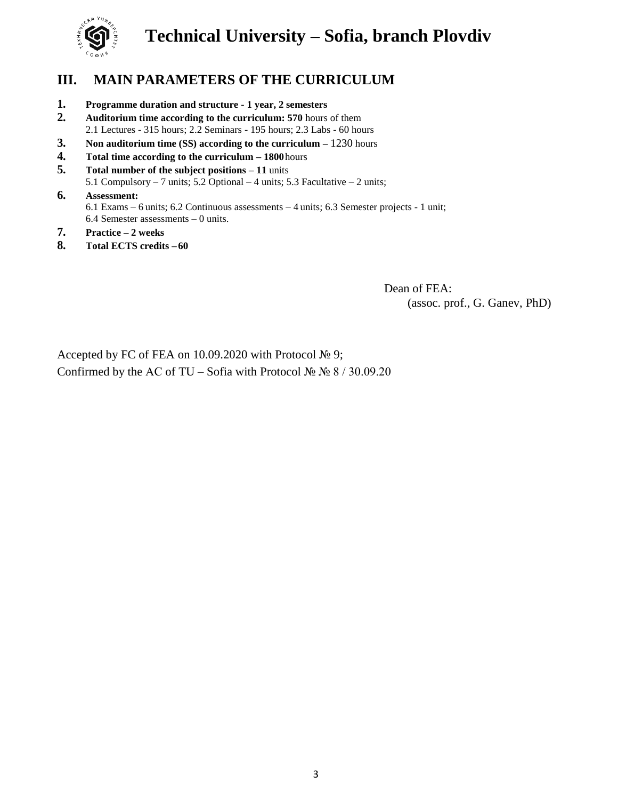

## **Technical University – Sofia, branch Plovdiv**

### **III. MAIN PARAMETERS OF THE CURRICULUM**

- **1. Programme duration and structure - 1 year, 2 semesters**
- **2. Auditorium time according to the curriculum: 570** hours of them 2.1 Lectures - 315 hours; 2.2 Seminars - 195 hours; 2.3 Labs - 60 hours
- **3. Non auditorium time (SS) according to the curriculum –** 1230 hours
- **4. Total time according to the curriculum – 1800**hours
- **5. Total number of the subject positions – 11** units 5.1 Compulsory – 7 units; 5.2 Optional – 4 units; 5.3 Facultative – 2 units;

### **6. Assessment:** 6.1 Exams – 6 units; 6.2 Continuous assessments – 4 units; 6.3 Semester projects - 1 unit; 6.4 Semester assessments – 0 units.

- **7. Practice – 2 weeks**
- **8. Total ECTS credits – 60**

Dean of FEA: (assoc. prof., G. Ganev, PhD)

Accepted by FC of FEA on 10.09.2020 with Protocol № 9; Confirmed by the AC of TU – Sofia with Protocol №  $\aleph_2$  8 / 30.09.20